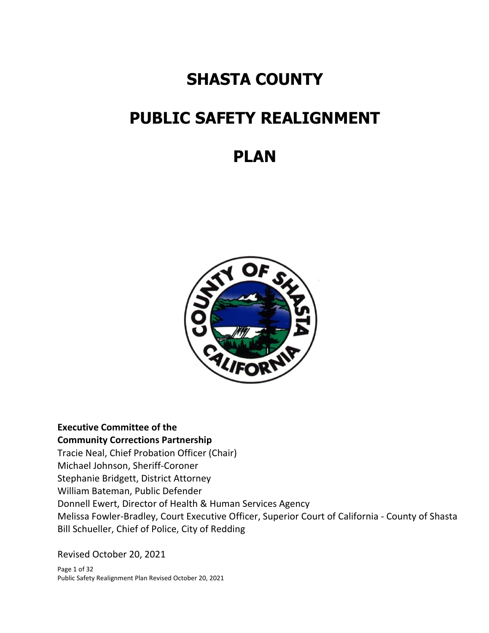## **SHASTA COUNTY**

# **PUBLIC SAFETY REALIGNMENT**

## **PLAN**



## **Executive Committee of the Community Corrections Partnership**

Tracie Neal, Chief Probation Officer (Chair) Michael Johnson, Sheriff-Coroner Stephanie Bridgett, District Attorney William Bateman, Public Defender Donnell Ewert, Director of Health & Human Services Agency Melissa Fowler-Bradley, Court Executive Officer, Superior Court of California - County of Shasta Bill Schueller, Chief of Police, City of Redding

Revised October 20, 2021

Page 1 of 32 Public Safety Realignment Plan Revised October 20, 2021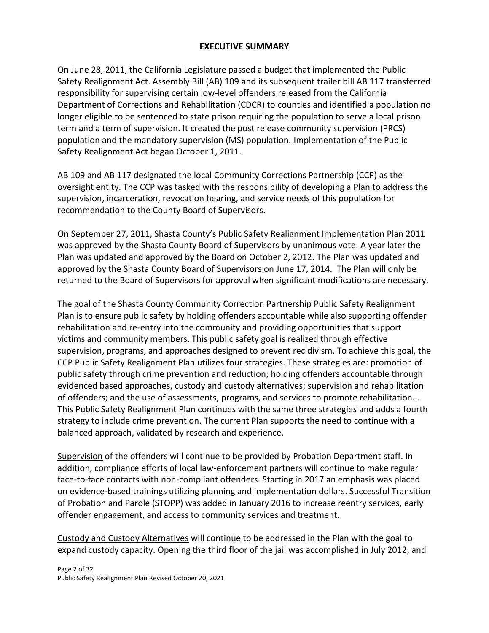## **EXECUTIVE SUMMARY**

On June 28, 2011, the California Legislature passed a budget that implemented the Public Safety Realignment Act. Assembly Bill (AB) 109 and its subsequent trailer bill AB 117 transferred responsibility for supervising certain low-level offenders released from the California Department of Corrections and Rehabilitation (CDCR) to counties and identified a population no longer eligible to be sentenced to state prison requiring the population to serve a local prison term and a term of supervision. It created the post release community supervision (PRCS) population and the mandatory supervision (MS) population. Implementation of the Public Safety Realignment Act began October 1, 2011.

AB 109 and AB 117 designated the local Community Corrections Partnership (CCP) as the oversight entity. The CCP was tasked with the responsibility of developing a Plan to address the supervision, incarceration, revocation hearing, and service needs of this population for recommendation to the County Board of Supervisors.

On September 27, 2011, Shasta County's Public Safety Realignment Implementation Plan 2011 was approved by the Shasta County Board of Supervisors by unanimous vote. A year later the Plan was updated and approved by the Board on October 2, 2012. The Plan was updated and approved by the Shasta County Board of Supervisors on June 17, 2014. The Plan will only be returned to the Board of Supervisors for approval when significant modifications are necessary.

The goal of the Shasta County Community Correction Partnership Public Safety Realignment Plan is to ensure public safety by holding offenders accountable while also supporting offender rehabilitation and re-entry into the community and providing opportunities that support victims and community members. This public safety goal is realized through effective supervision, programs, and approaches designed to prevent recidivism. To achieve this goal, the CCP Public Safety Realignment Plan utilizes four strategies. These strategies are: promotion of public safety through crime prevention and reduction; holding offenders accountable through evidenced based approaches, custody and custody alternatives; supervision and rehabilitation of offenders; and the use of assessments, programs, and services to promote rehabilitation. . This Public Safety Realignment Plan continues with the same three strategies and adds a fourth strategy to include crime prevention. The current Plan supports the need to continue with a balanced approach, validated by research and experience.

Supervision of the offenders will continue to be provided by Probation Department staff. In addition, compliance efforts of local law-enforcement partners will continue to make regular face-to-face contacts with non-compliant offenders. Starting in 2017 an emphasis was placed on evidence-based trainings utilizing planning and implementation dollars. Successful Transition of Probation and Parole (STOPP) was added in January 2016 to increase reentry services, early offender engagement, and access to community services and treatment.

Custody and Custody Alternatives will continue to be addressed in the Plan with the goal to expand custody capacity. Opening the third floor of the jail was accomplished in July 2012, and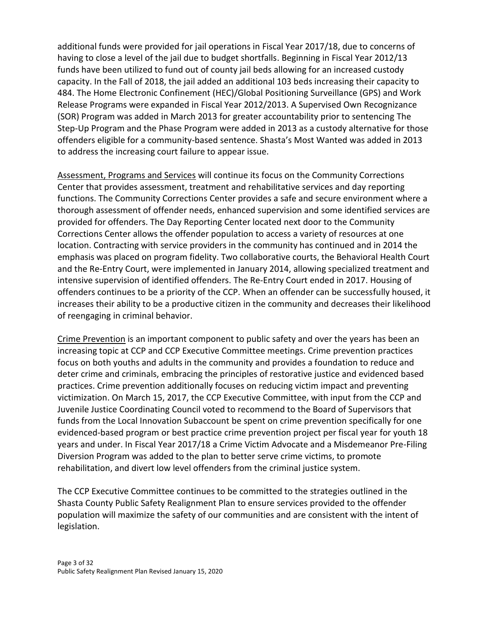additional funds were provided for jail operations in Fiscal Year 2017/18, due to concerns of having to close a level of the jail due to budget shortfalls. Beginning in Fiscal Year 2012/13 funds have been utilized to fund out of county jail beds allowing for an increased custody capacity. In the Fall of 2018, the jail added an additional 103 beds increasing their capacity to 484. The Home Electronic Confinement (HEC)/Global Positioning Surveillance (GPS) and Work Release Programs were expanded in Fiscal Year 2012/2013. A Supervised Own Recognizance (SOR) Program was added in March 2013 for greater accountability prior to sentencing The Step-Up Program and the Phase Program were added in 2013 as a custody alternative for those offenders eligible for a community-based sentence. Shasta's Most Wanted was added in 2013 to address the increasing court failure to appear issue.

Assessment, Programs and Services will continue its focus on the Community Corrections Center that provides assessment, treatment and rehabilitative services and day reporting functions. The Community Corrections Center provides a safe and secure environment where a thorough assessment of offender needs, enhanced supervision and some identified services are provided for offenders. The Day Reporting Center located next door to the Community Corrections Center allows the offender population to access a variety of resources at one location. Contracting with service providers in the community has continued and in 2014 the emphasis was placed on program fidelity. Two collaborative courts, the Behavioral Health Court and the Re-Entry Court, were implemented in January 2014, allowing specialized treatment and intensive supervision of identified offenders. The Re-Entry Court ended in 2017. Housing of offenders continues to be a priority of the CCP. When an offender can be successfully housed, it increases their ability to be a productive citizen in the community and decreases their likelihood of reengaging in criminal behavior.

Crime Prevention is an important component to public safety and over the years has been an increasing topic at CCP and CCP Executive Committee meetings. Crime prevention practices focus on both youths and adults in the community and provides a foundation to reduce and deter crime and criminals, embracing the principles of restorative justice and evidenced based practices. Crime prevention additionally focuses on reducing victim impact and preventing victimization. On March 15, 2017, the CCP Executive Committee, with input from the CCP and Juvenile Justice Coordinating Council voted to recommend to the Board of Supervisors that funds from the Local Innovation Subaccount be spent on crime prevention specifically for one evidenced-based program or best practice crime prevention project per fiscal year for youth 18 years and under. In Fiscal Year 2017/18 a Crime Victim Advocate and a Misdemeanor Pre-Filing Diversion Program was added to the plan to better serve crime victims, to promote rehabilitation, and divert low level offenders from the criminal justice system.

The CCP Executive Committee continues to be committed to the strategies outlined in the Shasta County Public Safety Realignment Plan to ensure services provided to the offender population will maximize the safety of our communities and are consistent with the intent of legislation.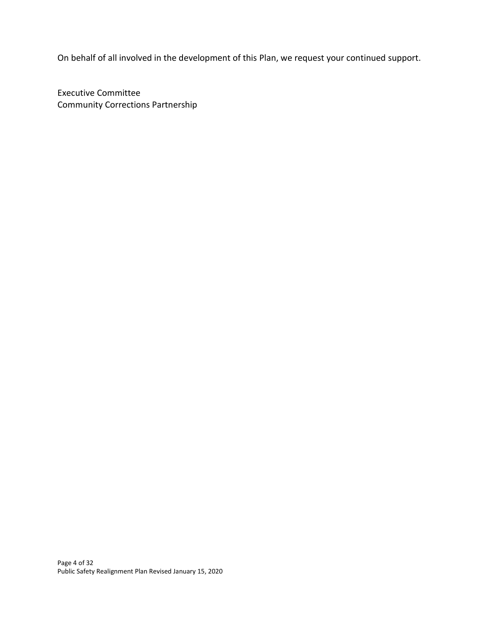On behalf of all involved in the development of this Plan, we request your continued support.

Executive Committee Community Corrections Partnership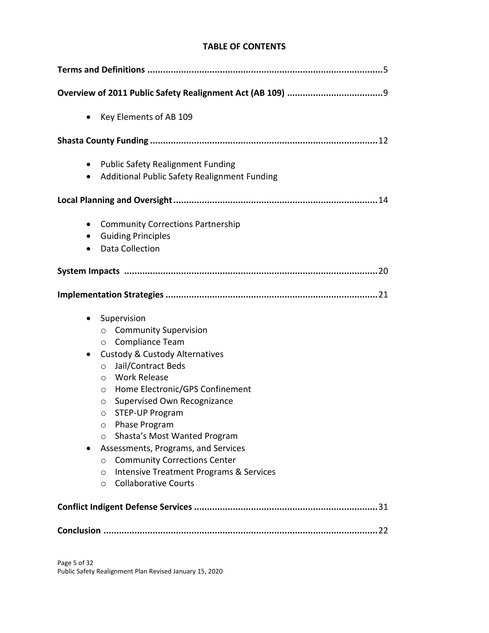## **TABLE OF CONTENTS**

| Key Elements of AB 109<br>$\bullet$                                                                                                                                                                                                                                                                                                                                                                                                                                                                                                                                                                      |
|----------------------------------------------------------------------------------------------------------------------------------------------------------------------------------------------------------------------------------------------------------------------------------------------------------------------------------------------------------------------------------------------------------------------------------------------------------------------------------------------------------------------------------------------------------------------------------------------------------|
|                                                                                                                                                                                                                                                                                                                                                                                                                                                                                                                                                                                                          |
| <b>Public Safety Realignment Funding</b><br>$\bullet$<br>Additional Public Safety Realignment Funding<br>$\bullet$                                                                                                                                                                                                                                                                                                                                                                                                                                                                                       |
|                                                                                                                                                                                                                                                                                                                                                                                                                                                                                                                                                                                                          |
| <b>Community Corrections Partnership</b><br>$\bullet$<br><b>Guiding Principles</b><br>$\bullet$<br>Data Collection                                                                                                                                                                                                                                                                                                                                                                                                                                                                                       |
|                                                                                                                                                                                                                                                                                                                                                                                                                                                                                                                                                                                                          |
|                                                                                                                                                                                                                                                                                                                                                                                                                                                                                                                                                                                                          |
| Supervision<br>$\bullet$<br><b>Community Supervision</b><br>$\circ$<br>Compliance Team<br>$\circ$<br><b>Custody &amp; Custody Alternatives</b><br>$\bullet$<br>Jail/Contract Beds<br>$\circ$<br><b>Work Release</b><br>$\circ$<br>Home Electronic/GPS Confinement<br>$\circ$<br>Supervised Own Recognizance<br>O<br><b>STEP-UP Program</b><br>O<br>Phase Program<br>O<br>Shasta's Most Wanted Program<br>$\circ$<br>Assessments, Programs, and Services<br><b>Community Corrections Center</b><br>O<br><b>Intensive Treatment Programs &amp; Services</b><br>O<br><b>Collaborative Courts</b><br>$\circ$ |
|                                                                                                                                                                                                                                                                                                                                                                                                                                                                                                                                                                                                          |
|                                                                                                                                                                                                                                                                                                                                                                                                                                                                                                                                                                                                          |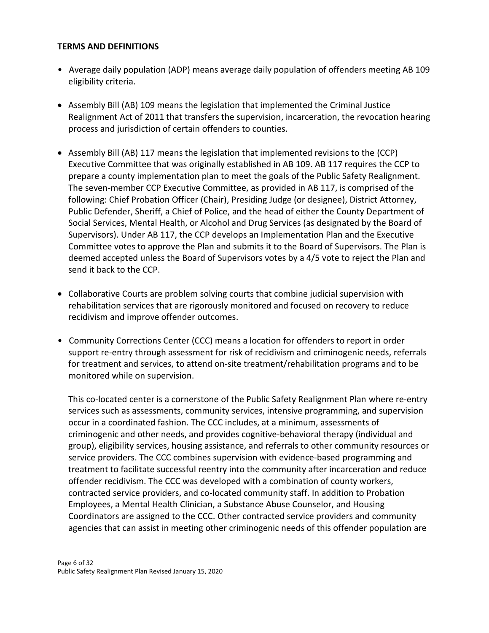#### **TERMS AND DEFINITIONS**

- Average daily population (ADP) means average daily population of offenders meeting AB 109 eligibility criteria.
- Assembly Bill (AB) 109 means the legislation that implemented the Criminal Justice Realignment Act of 2011 that transfers the supervision, incarceration, the revocation hearing process and jurisdiction of certain offenders to counties.
- Assembly Bill (AB) 117 means the legislation that implemented revisions to the (CCP) Executive Committee that was originally established in AB 109. AB 117 requires the CCP to prepare a county implementation plan to meet the goals of the Public Safety Realignment. The seven-member CCP Executive Committee, as provided in AB 117, is comprised of the following: Chief Probation Officer (Chair), Presiding Judge (or designee), District Attorney, Public Defender, Sheriff, a Chief of Police, and the head of either the County Department of Social Services, Mental Health, or Alcohol and Drug Services (as designated by the Board of Supervisors). Under AB 117, the CCP develops an Implementation Plan and the Executive Committee votes to approve the Plan and submits it to the Board of Supervisors. The Plan is deemed accepted unless the Board of Supervisors votes by a 4/5 vote to reject the Plan and send it back to the CCP.
- Collaborative Courts are problem solving courts that combine judicial supervision with rehabilitation services that are rigorously monitored and focused on recovery to reduce recidivism and improve offender outcomes.
- Community Corrections Center (CCC) means a location for offenders to report in order support re-entry through assessment for risk of recidivism and criminogenic needs, referrals for treatment and services, to attend on-site treatment/rehabilitation programs and to be monitored while on supervision.

This co-located center is a cornerstone of the Public Safety Realignment Plan where re-entry services such as assessments, community services, intensive programming, and supervision occur in a coordinated fashion. The CCC includes, at a minimum, assessments of criminogenic and other needs, and provides cognitive-behavioral therapy (individual and group), eligibility services, housing assistance, and referrals to other community resources or service providers. The CCC combines supervision with evidence-based programming and treatment to facilitate successful reentry into the community after incarceration and reduce offender recidivism. The CCC was developed with a combination of county workers, contracted service providers, and co-located community staff. In addition to Probation Employees, a Mental Health Clinician, a Substance Abuse Counselor, and Housing Coordinators are assigned to the CCC. Other contracted service providers and community agencies that can assist in meeting other criminogenic needs of this offender population are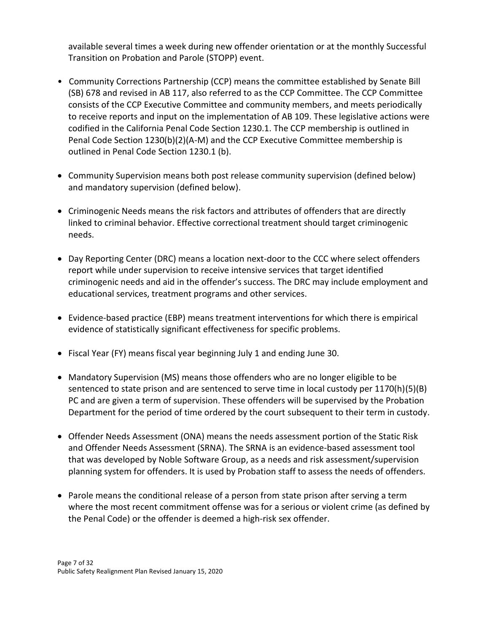available several times a week during new offender orientation or at the monthly Successful Transition on Probation and Parole (STOPP) event.

- Community Corrections Partnership (CCP) means the committee established by Senate Bill (SB) 678 and revised in AB 117, also referred to as the CCP Committee. The CCP Committee consists of the CCP Executive Committee and community members, and meets periodically to receive reports and input on the implementation of AB 109. These legislative actions were codified in the California Penal Code Section 1230.1. The CCP membership is outlined in Penal Code Section 1230(b)(2)(A-M) and the CCP Executive Committee membership is outlined in Penal Code Section 1230.1 (b).
- Community Supervision means both post release community supervision (defined below) and mandatory supervision (defined below).
- Criminogenic Needs means the risk factors and attributes of offenders that are directly linked to criminal behavior. Effective correctional treatment should target criminogenic needs.
- Day Reporting Center (DRC) means a location next-door to the CCC where select offenders report while under supervision to receive intensive services that target identified criminogenic needs and aid in the offender's success. The DRC may include employment and educational services, treatment programs and other services.
- Evidence-based practice (EBP) means treatment interventions for which there is empirical evidence of statistically significant effectiveness for specific problems.
- Fiscal Year (FY) means fiscal year beginning July 1 and ending June 30.
- Mandatory Supervision (MS) means those offenders who are no longer eligible to be sentenced to state prison and are sentenced to serve time in local custody per 1170(h)(5)(B) PC and are given a term of supervision. These offenders will be supervised by the Probation Department for the period of time ordered by the court subsequent to their term in custody.
- Offender Needs Assessment (ONA) means the needs assessment portion of the Static Risk and Offender Needs Assessment (SRNA). The SRNA is an evidence-based assessment tool that was developed by Noble Software Group, as a needs and risk assessment/supervision planning system for offenders. It is used by Probation staff to assess the needs of offenders.
- Parole means the conditional release of a person from state prison after serving a term where the most recent commitment offense was for a serious or violent crime (as defined by the Penal Code) or the offender is deemed a high-risk sex offender.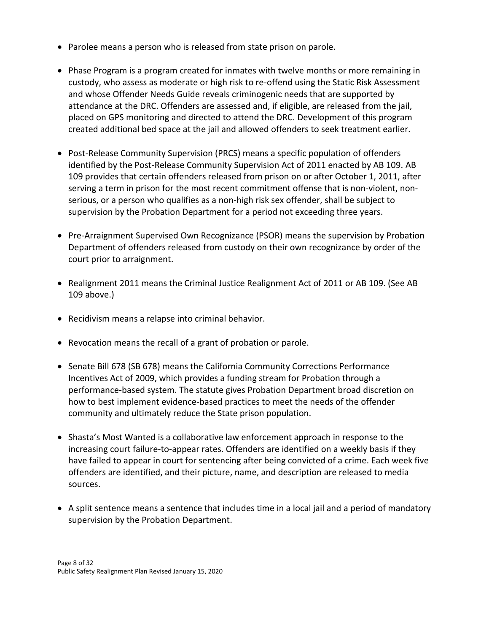- Parolee means a person who is released from state prison on parole.
- Phase Program is a program created for inmates with twelve months or more remaining in custody, who assess as moderate or high risk to re-offend using the Static Risk Assessment and whose Offender Needs Guide reveals criminogenic needs that are supported by attendance at the DRC. Offenders are assessed and, if eligible, are released from the jail, placed on GPS monitoring and directed to attend the DRC. Development of this program created additional bed space at the jail and allowed offenders to seek treatment earlier.
- Post-Release Community Supervision (PRCS) means a specific population of offenders identified by the Post-Release Community Supervision Act of 2011 enacted by AB 109. AB 109 provides that certain offenders released from prison on or after October 1, 2011, after serving a term in prison for the most recent commitment offense that is non-violent, nonserious, or a person who qualifies as a non-high risk sex offender, shall be subject to supervision by the Probation Department for a period not exceeding three years.
- Pre-Arraignment Supervised Own Recognizance (PSOR) means the supervision by Probation Department of offenders released from custody on their own recognizance by order of the court prior to arraignment.
- Realignment 2011 means the Criminal Justice Realignment Act of 2011 or AB 109. (See AB 109 above.)
- Recidivism means a relapse into criminal behavior.
- Revocation means the recall of a grant of probation or parole.
- Senate Bill 678 (SB 678) means the California Community Corrections Performance Incentives Act of 2009, which provides a funding stream for Probation through a performance-based system. The statute gives Probation Department broad discretion on how to best implement evidence-based practices to meet the needs of the offender community and ultimately reduce the State prison population.
- Shasta's Most Wanted is a collaborative law enforcement approach in response to the increasing court failure-to-appear rates. Offenders are identified on a weekly basis if they have failed to appear in court for sentencing after being convicted of a crime. Each week five offenders are identified, and their picture, name, and description are released to media sources.
- A split sentence means a sentence that includes time in a local jail and a period of mandatory supervision by the Probation Department.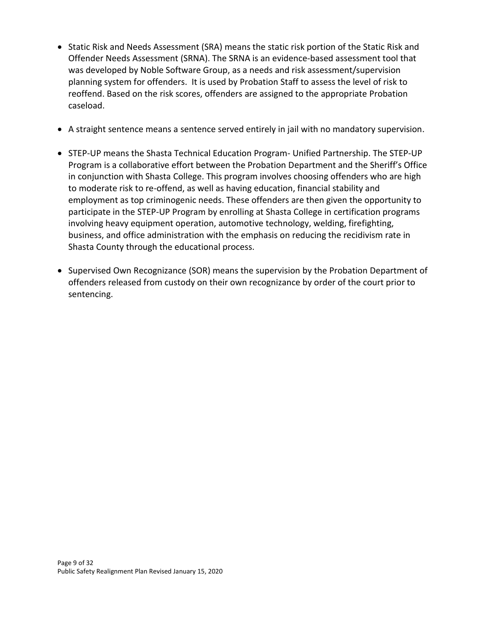- Static Risk and Needs Assessment (SRA) means the static risk portion of the Static Risk and Offender Needs Assessment (SRNA). The SRNA is an evidence-based assessment tool that was developed by Noble Software Group, as a needs and risk assessment/supervision planning system for offenders. It is used by Probation Staff to assess the level of risk to reoffend. Based on the risk scores, offenders are assigned to the appropriate Probation caseload.
- A straight sentence means a sentence served entirely in jail with no mandatory supervision.
- STEP-UP means the Shasta Technical Education Program- Unified Partnership. The STEP-UP Program is a collaborative effort between the Probation Department and the Sheriff's Office in conjunction with Shasta College. This program involves choosing offenders who are high to moderate risk to re-offend, as well as having education, financial stability and employment as top criminogenic needs. These offenders are then given the opportunity to participate in the STEP-UP Program by enrolling at Shasta College in certification programs involving heavy equipment operation, automotive technology, welding, firefighting, business, and office administration with the emphasis on reducing the recidivism rate in Shasta County through the educational process.
- Supervised Own Recognizance (SOR) means the supervision by the Probation Department of offenders released from custody on their own recognizance by order of the court prior to sentencing.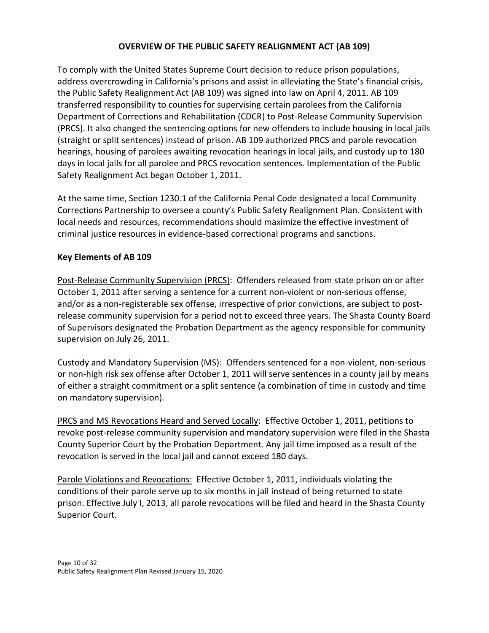## **OVERVIEW OF THE PUBLIC SAFETY REALIGNMENT ACT (AB 109)**

To comply with the United States Supreme Court decision to reduce prison populations, address overcrowding in California's prisons and assist in alleviating the State's financial crisis, the Public Safety Realignment Act (AB 109) was signed into law on April 4, 2011. AB 109 transferred responsibility to counties for supervising certain parolees from the California Department of Corrections and Rehabilitation (CDCR) to Post-Release Community Supervision (PRCS). It also changed the sentencing options for new offenders to include housing in local jails (straight or split sentences) instead of prison. AB 109 authorized PRCS and parole revocation hearings, housing of parolees awaiting revocation hearings in local jails, and custody up to 180 days in local jails for all parolee and PRCS revocation sentences. Implementation of the Public Safety Realignment Act began October 1, 2011.

At the same time, Section 1230.1 of the California Penal Code designated a local Community Corrections Partnership to oversee a county's Public Safety Realignment Plan. Consistent with local needs and resources, recommendations should maximize the effective investment of criminal justice resources in evidence-based correctional programs and sanctions.

## **Key Elements of AB 109**

Post-Release Community Supervision (PRCS): Offenders released from state prison on or after October 1, 2011 after serving a sentence for a current non-violent or non-serious offense, and/or as a non-registerable sex offense, irrespective of prior convictions, are subject to postrelease community supervision for a period not to exceed three years. The Shasta County Board of Supervisors designated the Probation Department as the agency responsible for community supervision on July 26, 2011.

Custody and Mandatory Supervision (MS): Offenders sentenced for a non-violent, non-serious or non-high risk sex offense after October 1, 2011 will serve sentences in a county jail by means of either a straight commitment or a split sentence (a combination of time in custody and time on mandatory supervision).

PRCS and MS Revocations Heard and Served Locally: Effective October 1, 2011, petitions to revoke post-release community supervision and mandatory supervision were filed in the Shasta County Superior Court by the Probation Department. Any jail time imposed as a result of the revocation is served in the local jail and cannot exceed 180 days.

Parole Violations and Revocations: Effective October 1, 2011, individuals violating the conditions of their parole serve up to six months in jail instead of being returned to state prison. Effective July I, 2013, all parole revocations will be filed and heard in the Shasta County Superior Court.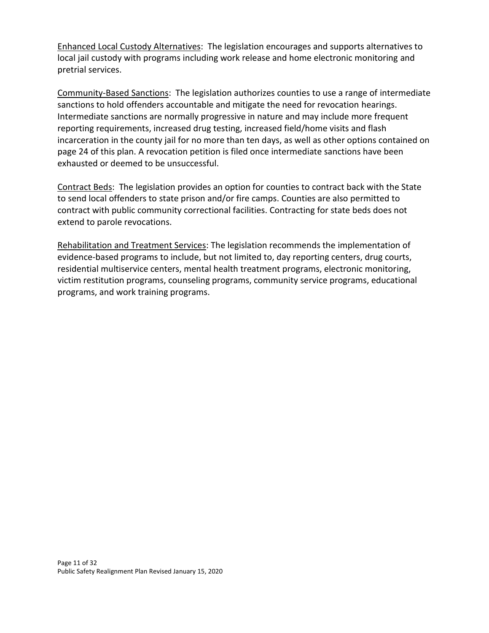Enhanced Local Custody Alternatives: The legislation encourages and supports alternatives to local jail custody with programs including work release and home electronic monitoring and pretrial services.

Community-Based Sanctions: The legislation authorizes counties to use a range of intermediate sanctions to hold offenders accountable and mitigate the need for revocation hearings. Intermediate sanctions are normally progressive in nature and may include more frequent reporting requirements, increased drug testing, increased field/home visits and flash incarceration in the county jail for no more than ten days, as well as other options contained on page 24 of this plan. A revocation petition is filed once intermediate sanctions have been exhausted or deemed to be unsuccessful.

Contract Beds: The legislation provides an option for counties to contract back with the State to send local offenders to state prison and/or fire camps. Counties are also permitted to contract with public community correctional facilities. Contracting for state beds does not extend to parole revocations.

Rehabilitation and Treatment Services: The legislation recommends the implementation of evidence-based programs to include, but not limited to, day reporting centers, drug courts, residential multiservice centers, mental health treatment programs, electronic monitoring, victim restitution programs, counseling programs, community service programs, educational programs, and work training programs.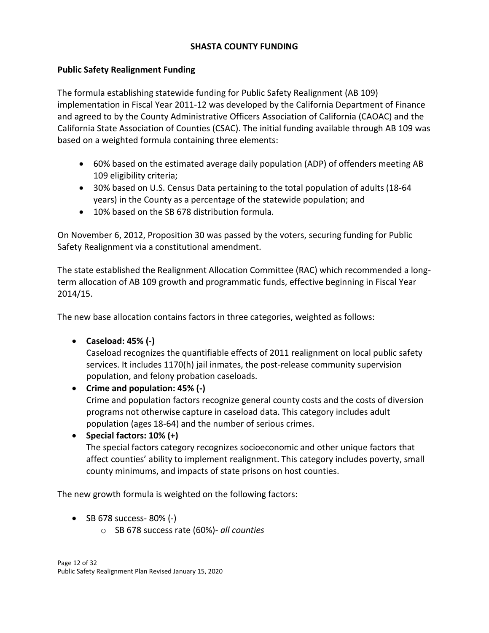## **SHASTA COUNTY FUNDING**

## **Public Safety Realignment Funding**

The formula establishing statewide funding for Public Safety Realignment (AB 109) implementation in Fiscal Year 2011-12 was developed by the California Department of Finance and agreed to by the County Administrative Officers Association of California (CAOAC) and the California State Association of Counties (CSAC). The initial funding available through AB 109 was based on a weighted formula containing three elements:

- 60% based on the estimated average daily population (ADP) of offenders meeting AB 109 eligibility criteria;
- 30% based on U.S. Census Data pertaining to the total population of adults (18-64 years) in the County as a percentage of the statewide population; and
- 10% based on the SB 678 distribution formula.

On November 6, 2012, Proposition 30 was passed by the voters, securing funding for Public Safety Realignment via a constitutional amendment.

The state established the Realignment Allocation Committee (RAC) which recommended a longterm allocation of AB 109 growth and programmatic funds, effective beginning in Fiscal Year 2014/15.

The new base allocation contains factors in three categories, weighted as follows:

• **Caseload: 45% (-)**

Caseload recognizes the quantifiable effects of 2011 realignment on local public safety services. It includes 1170(h) jail inmates, the post-release community supervision population, and felony probation caseloads.

• **Crime and population: 45% (-)** Crime and population factors recognize general county costs and the costs of diversion programs not otherwise capture in caseload data. This category includes adult population (ages 18-64) and the number of serious crimes.

• **Special factors: 10% (+)** The special factors category recognizes socioeconomic and other unique factors that affect counties' ability to implement realignment. This category includes poverty, small county minimums, and impacts of state prisons on host counties.

The new growth formula is weighted on the following factors:

- SB 678 success- 80% (-)
	- o SB 678 success rate (60%)- *all counties*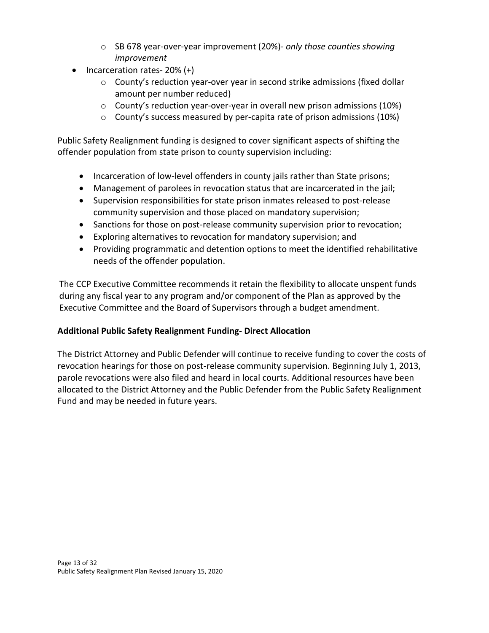- o SB 678 year-over-year improvement (20%)- *only those counties showing improvement*
- Incarceration rates- 20% (+)
	- o County's reduction year-over year in second strike admissions (fixed dollar amount per number reduced)
	- o County's reduction year-over-year in overall new prison admissions (10%)
	- o County's success measured by per-capita rate of prison admissions (10%)

Public Safety Realignment funding is designed to cover significant aspects of shifting the offender population from state prison to county supervision including:

- Incarceration of low-level offenders in county jails rather than State prisons;
- Management of parolees in revocation status that are incarcerated in the jail;
- Supervision responsibilities for state prison inmates released to post-release community supervision and those placed on mandatory supervision;
- Sanctions for those on post-release community supervision prior to revocation;
- Exploring alternatives to revocation for mandatory supervision; and
- Providing programmatic and detention options to meet the identified rehabilitative needs of the offender population.

The CCP Executive Committee recommends it retain the flexibility to allocate unspent funds during any fiscal year to any program and/or component of the Plan as approved by the Executive Committee and the Board of Supervisors through a budget amendment.

## **Additional Public Safety Realignment Funding- Direct Allocation**

The District Attorney and Public Defender will continue to receive funding to cover the costs of revocation hearings for those on post-release community supervision. Beginning July 1, 2013, parole revocations were also filed and heard in local courts. Additional resources have been allocated to the District Attorney and the Public Defender from the Public Safety Realignment Fund and may be needed in future years.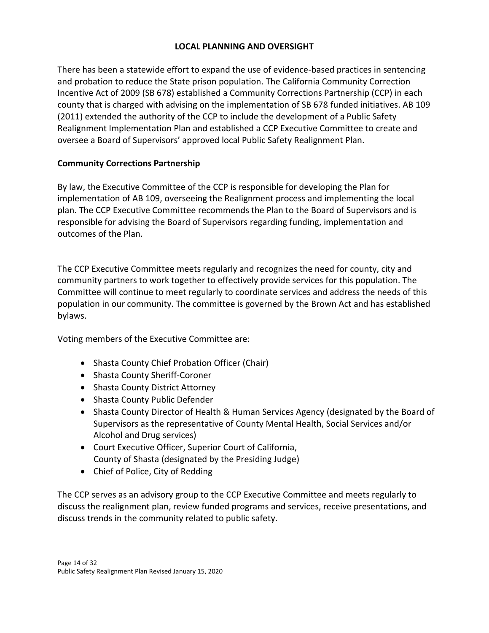## **LOCAL PLANNING AND OVERSIGHT**

There has been a statewide effort to expand the use of evidence-based practices in sentencing and probation to reduce the State prison population. The California Community Correction Incentive Act of 2009 (SB 678) established a Community Corrections Partnership (CCP) in each county that is charged with advising on the implementation of SB 678 funded initiatives. AB 109 (2011) extended the authority of the CCP to include the development of a Public Safety Realignment Implementation Plan and established a CCP Executive Committee to create and oversee a Board of Supervisors' approved local Public Safety Realignment Plan.

## **Community Corrections Partnership**

By law, the Executive Committee of the CCP is responsible for developing the Plan for implementation of AB 109, overseeing the Realignment process and implementing the local plan. The CCP Executive Committee recommends the Plan to the Board of Supervisors and is responsible for advising the Board of Supervisors regarding funding, implementation and outcomes of the Plan.

The CCP Executive Committee meets regularly and recognizes the need for county, city and community partners to work together to effectively provide services for this population. The Committee will continue to meet regularly to coordinate services and address the needs of this population in our community. The committee is governed by the Brown Act and has established bylaws.

Voting members of the Executive Committee are:

- Shasta County Chief Probation Officer (Chair)
- Shasta County Sheriff-Coroner
- Shasta County District Attorney
- Shasta County Public Defender
- Shasta County Director of Health & Human Services Agency (designated by the Board of Supervisors as the representative of County Mental Health, Social Services and/or Alcohol and Drug services)
- Court Executive Officer, Superior Court of California, County of Shasta (designated by the Presiding Judge)
- Chief of Police, City of Redding

The CCP serves as an advisory group to the CCP Executive Committee and meets regularly to discuss the realignment plan, review funded programs and services, receive presentations, and discuss trends in the community related to public safety.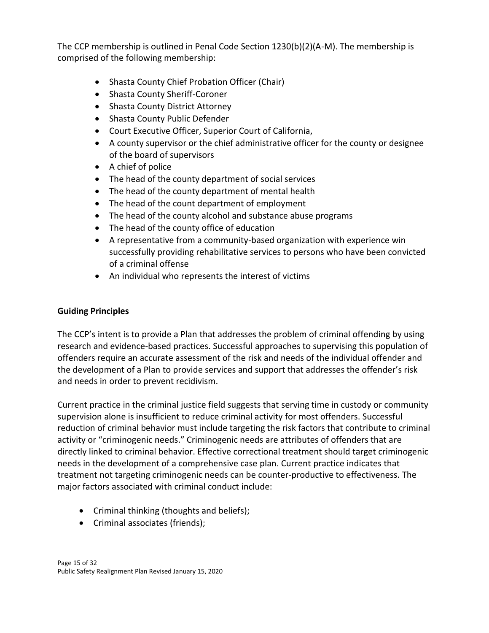The CCP membership is outlined in Penal Code Section 1230(b)(2)(A-M). The membership is comprised of the following membership:

- Shasta County Chief Probation Officer (Chair)
- Shasta County Sheriff-Coroner
- Shasta County District Attorney
- Shasta County Public Defender
- Court Executive Officer, Superior Court of California,
- A county supervisor or the chief administrative officer for the county or designee of the board of supervisors
- A chief of police
- The head of the county department of social services
- The head of the county department of mental health
- The head of the count department of employment
- The head of the county alcohol and substance abuse programs
- The head of the county office of education
- A representative from a community-based organization with experience win successfully providing rehabilitative services to persons who have been convicted of a criminal offense
- An individual who represents the interest of victims

## **Guiding Principles**

The CCP's intent is to provide a Plan that addresses the problem of criminal offending by using research and evidence-based practices. Successful approaches to supervising this population of offenders require an accurate assessment of the risk and needs of the individual offender and the development of a Plan to provide services and support that addresses the offender's risk and needs in order to prevent recidivism.

Current practice in the criminal justice field suggests that serving time in custody or community supervision alone is insufficient to reduce criminal activity for most offenders. Successful reduction of criminal behavior must include targeting the risk factors that contribute to criminal activity or "criminogenic needs." Criminogenic needs are attributes of offenders that are directly linked to criminal behavior. Effective correctional treatment should target criminogenic needs in the development of a comprehensive case plan. Current practice indicates that treatment not targeting criminogenic needs can be counter-productive to effectiveness. The major factors associated with criminal conduct include:

- Criminal thinking (thoughts and beliefs);
- Criminal associates (friends);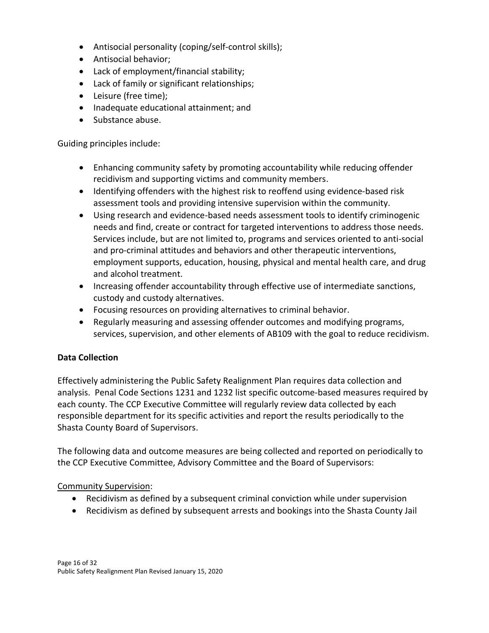- Antisocial personality (coping/self-control skills);
- Antisocial behavior;
- Lack of employment/financial stability;
- Lack of family or significant relationships;
- Leisure (free time);
- Inadequate educational attainment; and
- Substance abuse.

Guiding principles include:

- Enhancing community safety by promoting accountability while reducing offender recidivism and supporting victims and community members.
- Identifying offenders with the highest risk to reoffend using evidence-based risk assessment tools and providing intensive supervision within the community.
- Using research and evidence-based needs assessment tools to identify criminogenic needs and find, create or contract for targeted interventions to address those needs. Services include, but are not limited to, programs and services oriented to anti-social and pro-criminal attitudes and behaviors and other therapeutic interventions, employment supports, education, housing, physical and mental health care, and drug and alcohol treatment.
- Increasing offender accountability through effective use of intermediate sanctions, custody and custody alternatives.
- Focusing resources on providing alternatives to criminal behavior.
- Regularly measuring and assessing offender outcomes and modifying programs, services, supervision, and other elements of AB109 with the goal to reduce recidivism.

## **Data Collection**

Effectively administering the Public Safety Realignment Plan requires data collection and analysis. Penal Code Sections 1231 and 1232 list specific outcome-based measures required by each county. The CCP Executive Committee will regularly review data collected by each responsible department for its specific activities and report the results periodically to the Shasta County Board of Supervisors.

The following data and outcome measures are being collected and reported on periodically to the CCP Executive Committee, Advisory Committee and the Board of Supervisors:

## Community Supervision:

- Recidivism as defined by a subsequent criminal conviction while under supervision
- Recidivism as defined by subsequent arrests and bookings into the Shasta County Jail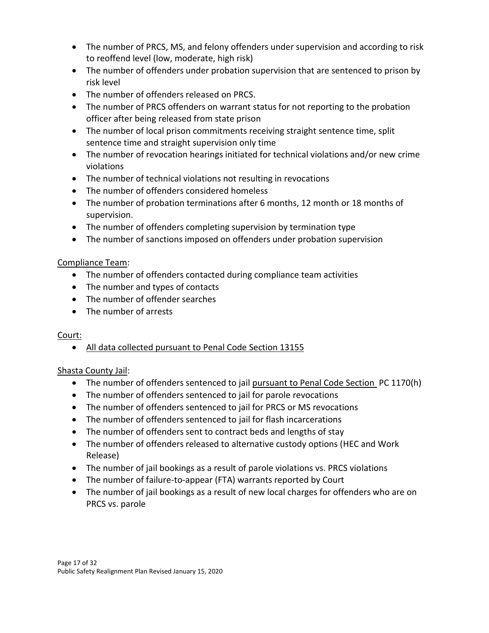- The number of PRCS, MS, and felony offenders under supervision and according to risk to reoffend level (low, moderate, high risk)
- The number of offenders under probation supervision that are sentenced to prison by risk level
- The number of offenders released on PRCS.
- The number of PRCS offenders on warrant status for not reporting to the probation officer after being released from state prison
- The number of local prison commitments receiving straight sentence time, split sentence time and straight supervision only time
- The number of revocation hearings initiated for technical violations and/or new crime violations
- The number of technical violations not resulting in revocations
- The number of offenders considered homeless
- The number of probation terminations after 6 months, 12 month or 18 months of supervision.
- The number of offenders completing supervision by termination type
- The number of sanctions imposed on offenders under probation supervision

## Compliance Team:

- The number of offenders contacted during compliance team activities
- The number and types of contacts
- The number of offender searches
- The number of arrests

## Court:

• All data collected pursuant to Penal Code Section 13155

## Shasta County Jail:

- The number of offenders sentenced to jail pursuant to Penal Code Section PC 1170(h)
- The number of offenders sentenced to jail for parole revocations
- The number of offenders sentenced to jail for PRCS or MS revocations
- The number of offenders sentenced to jail for flash incarcerations
- The number of offenders sent to contract beds and lengths of stay
- The number of offenders released to alternative custody options (HEC and Work Release)
- The number of jail bookings as a result of parole violations vs. PRCS violations
- The number of failure-to-appear (FTA) warrants reported by Court
- The number of jail bookings as a result of new local charges for offenders who are on PRCS vs. parole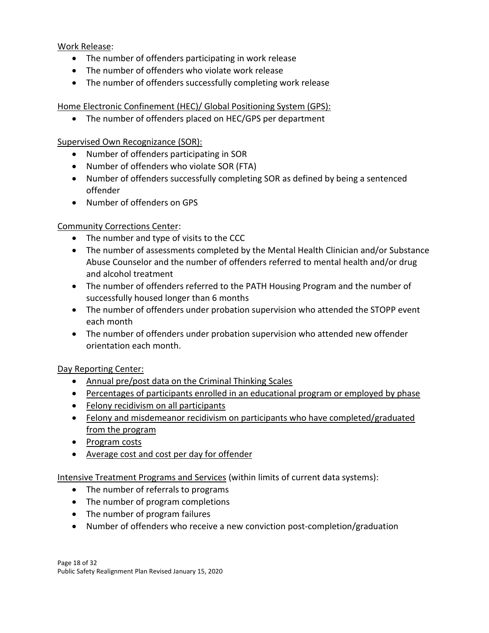Work Release:

- The number of offenders participating in work release
- The number of offenders who violate work release
- The number of offenders successfully completing work release

Home Electronic Confinement (HEC)/ Global Positioning System (GPS):

• The number of offenders placed on HEC/GPS per department

Supervised Own Recognizance (SOR):

- Number of offenders participating in SOR
- Number of offenders who violate SOR (FTA)
- Number of offenders successfully completing SOR as defined by being a sentenced offender
- Number of offenders on GPS

## Community Corrections Center:

- The number and type of visits to the CCC
- The number of assessments completed by the Mental Health Clinician and/or Substance Abuse Counselor and the number of offenders referred to mental health and/or drug and alcohol treatment
- The number of offenders referred to the PATH Housing Program and the number of successfully housed longer than 6 months
- The number of offenders under probation supervision who attended the STOPP event each month
- The number of offenders under probation supervision who attended new offender orientation each month.

Day Reporting Center:

- Annual pre/post data on the Criminal Thinking Scales
- Percentages of participants enrolled in an educational program or employed by phase
- Felony recidivism on all participants
- Felony and misdemeanor recidivism on participants who have completed/graduated from the program
- Program costs
- Average cost and cost per day for offender

Intensive Treatment Programs and Services (within limits of current data systems):

- The number of referrals to programs
- The number of program completions
- The number of program failures
- Number of offenders who receive a new conviction post-completion/graduation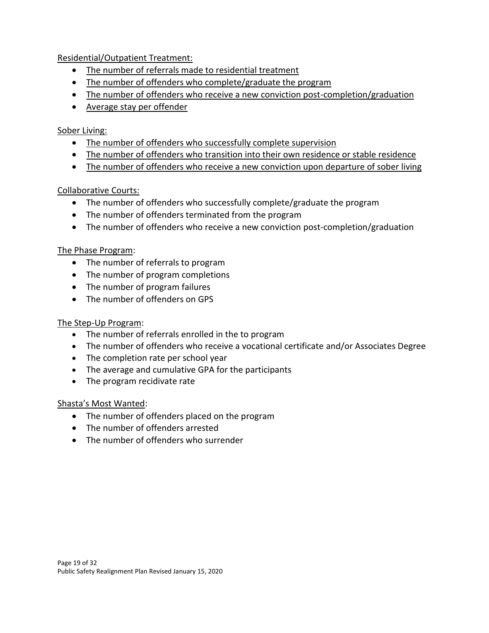Residential/Outpatient Treatment:

- The number of referrals made to residential treatment
- The number of offenders who complete/graduate the program
- The number of offenders who receive a new conviction post-completion/graduation
- Average stay per offender

## Sober Living:

- The number of offenders who successfully complete supervision
- The number of offenders who transition into their own residence or stable residence
- The number of offenders who receive a new conviction upon departure of sober living

## Collaborative Courts:

- The number of offenders who successfully complete/graduate the program
- The number of offenders terminated from the program
- The number of offenders who receive a new conviction post-completion/graduation

## The Phase Program:

- The number of referrals to program
- The number of program completions
- The number of program failures
- The number of offenders on GPS

## The Step-Up Program:

- The number of referrals enrolled in the to program
- The number of offenders who receive a vocational certificate and/or Associates Degree
- The completion rate per school year
- The average and cumulative GPA for the participants
- The program recidivate rate

## Shasta's Most Wanted:

- The number of offenders placed on the program
- The number of offenders arrested
- The number of offenders who surrender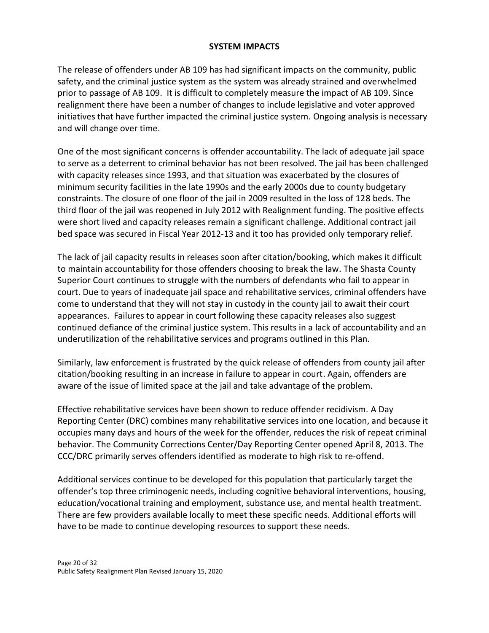#### **SYSTEM IMPACTS**

The release of offenders under AB 109 has had significant impacts on the community, public safety, and the criminal justice system as the system was already strained and overwhelmed prior to passage of AB 109. It is difficult to completely measure the impact of AB 109. Since realignment there have been a number of changes to include legislative and voter approved initiatives that have further impacted the criminal justice system. Ongoing analysis is necessary and will change over time.

One of the most significant concerns is offender accountability. The lack of adequate jail space to serve as a deterrent to criminal behavior has not been resolved. The jail has been challenged with capacity releases since 1993, and that situation was exacerbated by the closures of minimum security facilities in the late 1990s and the early 2000s due to county budgetary constraints. The closure of one floor of the jail in 2009 resulted in the loss of 128 beds. The third floor of the jail was reopened in July 2012 with Realignment funding. The positive effects were short lived and capacity releases remain a significant challenge. Additional contract jail bed space was secured in Fiscal Year 2012-13 and it too has provided only temporary relief.

The lack of jail capacity results in releases soon after citation/booking, which makes it difficult to maintain accountability for those offenders choosing to break the law. The Shasta County Superior Court continues to struggle with the numbers of defendants who fail to appear in court. Due to years of inadequate jail space and rehabilitative services, criminal offenders have come to understand that they will not stay in custody in the county jail to await their court appearances. Failures to appear in court following these capacity releases also suggest continued defiance of the criminal justice system. This results in a lack of accountability and an underutilization of the rehabilitative services and programs outlined in this Plan.

Similarly, law enforcement is frustrated by the quick release of offenders from county jail after citation/booking resulting in an increase in failure to appear in court. Again, offenders are aware of the issue of limited space at the jail and take advantage of the problem.

Effective rehabilitative services have been shown to reduce offender recidivism. A Day Reporting Center (DRC) combines many rehabilitative services into one location, and because it occupies many days and hours of the week for the offender, reduces the risk of repeat criminal behavior. The Community Corrections Center/Day Reporting Center opened April 8, 2013. The CCC/DRC primarily serves offenders identified as moderate to high risk to re-offend.

Additional services continue to be developed for this population that particularly target the offender's top three criminogenic needs, including cognitive behavioral interventions, housing, education/vocational training and employment, substance use, and mental health treatment. There are few providers available locally to meet these specific needs. Additional efforts will have to be made to continue developing resources to support these needs.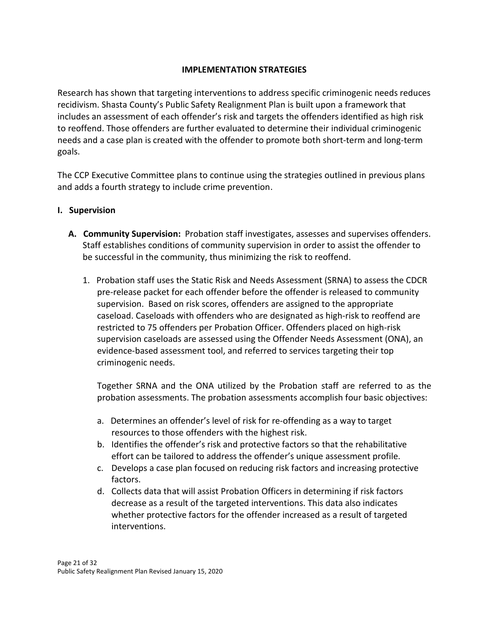## **IMPLEMENTATION STRATEGIES**

Research has shown that targeting interventions to address specific criminogenic needs reduces recidivism. Shasta County's Public Safety Realignment Plan is built upon a framework that includes an assessment of each offender's risk and targets the offenders identified as high risk to reoffend. Those offenders are further evaluated to determine their individual criminogenic needs and a case plan is created with the offender to promote both short-term and long-term goals.

The CCP Executive Committee plans to continue using the strategies outlined in previous plans and adds a fourth strategy to include crime prevention.

- **I. Supervision**
	- **A. Community Supervision:** Probation staff investigates, assesses and supervises offenders. Staff establishes conditions of community supervision in order to assist the offender to be successful in the community, thus minimizing the risk to reoffend.
		- 1. Probation staff uses the Static Risk and Needs Assessment (SRNA) to assess the CDCR pre-release packet for each offender before the offender is released to community supervision. Based on risk scores, offenders are assigned to the appropriate caseload. Caseloads with offenders who are designated as high-risk to reoffend are restricted to 75 offenders per Probation Officer. Offenders placed on high-risk supervision caseloads are assessed using the Offender Needs Assessment (ONA), an evidence-based assessment tool, and referred to services targeting their top criminogenic needs.

Together SRNA and the ONA utilized by the Probation staff are referred to as the probation assessments. The probation assessments accomplish four basic objectives:

- a. Determines an offender's level of risk for re‐offending as a way to target resources to those offenders with the highest risk.
- b. Identifies the offender's risk and protective factors so that the rehabilitative effort can be tailored to address the offender's unique assessment profile.
- c. Develops a case plan focused on reducing risk factors and increasing protective factors.
- d. Collects data that will assist Probation Officers in determining if risk factors decrease as a result of the targeted interventions. This data also indicates whether protective factors for the offender increased as a result of targeted interventions.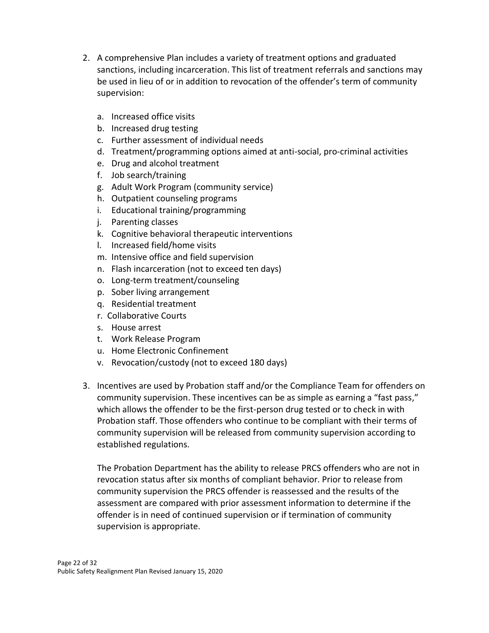- 2. A comprehensive Plan includes a variety of treatment options and graduated sanctions, including incarceration. This list of treatment referrals and sanctions may be used in lieu of or in addition to revocation of the offender's term of community supervision:
	- a. Increased office visits
	- b. Increased drug testing
	- c. Further assessment of individual needs
	- d. Treatment/programming options aimed at anti-social, pro-criminal activities
	- e. Drug and alcohol treatment
	- f. Job search/training
	- g. Adult Work Program (community service)
	- h. Outpatient counseling programs
	- i. Educational training/programming
	- j. Parenting classes
	- k. Cognitive behavioral therapeutic interventions
	- l. Increased field/home visits
	- m. Intensive office and field supervision
	- n. Flash incarceration (not to exceed ten days)
	- o. Long-term treatment/counseling
	- p. Sober living arrangement
	- q. Residential treatment
	- r. Collaborative Courts
	- s. House arrest
	- t. Work Release Program
	- u. Home Electronic Confinement
	- v. Revocation/custody (not to exceed 180 days)
- 3. Incentives are used by Probation staff and/or the Compliance Team for offenders on community supervision. These incentives can be as simple as earning a "fast pass," which allows the offender to be the first-person drug tested or to check in with Probation staff. Those offenders who continue to be compliant with their terms of community supervision will be released from community supervision according to established regulations.

The Probation Department has the ability to release PRCS offenders who are not in revocation status after six months of compliant behavior. Prior to release from community supervision the PRCS offender is reassessed and the results of the assessment are compared with prior assessment information to determine if the offender is in need of continued supervision or if termination of community supervision is appropriate.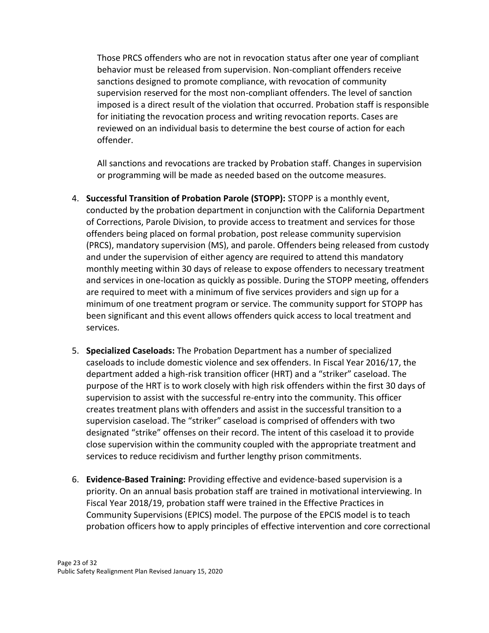Those PRCS offenders who are not in revocation status after one year of compliant behavior must be released from supervision. Non-compliant offenders receive sanctions designed to promote compliance, with revocation of community supervision reserved for the most non-compliant offenders. The level of sanction imposed is a direct result of the violation that occurred. Probation staff is responsible for initiating the revocation process and writing revocation reports. Cases are reviewed on an individual basis to determine the best course of action for each offender.

All sanctions and revocations are tracked by Probation staff. Changes in supervision or programming will be made as needed based on the outcome measures.

- 4. **Successful Transition of Probation Parole (STOPP):** STOPP is a monthly event, conducted by the probation department in conjunction with the California Department of Corrections, Parole Division, to provide access to treatment and services for those offenders being placed on formal probation, post release community supervision (PRCS), mandatory supervision (MS), and parole. Offenders being released from custody and under the supervision of either agency are required to attend this mandatory monthly meeting within 30 days of release to expose offenders to necessary treatment and services in one-location as quickly as possible. During the STOPP meeting, offenders are required to meet with a minimum of five services providers and sign up for a minimum of one treatment program or service. The community support for STOPP has been significant and this event allows offenders quick access to local treatment and services.
- 5. **Specialized Caseloads:** The Probation Department has a number of specialized caseloads to include domestic violence and sex offenders. In Fiscal Year 2016/17, the department added a high-risk transition officer (HRT) and a "striker" caseload. The purpose of the HRT is to work closely with high risk offenders within the first 30 days of supervision to assist with the successful re-entry into the community. This officer creates treatment plans with offenders and assist in the successful transition to a supervision caseload. The "striker" caseload is comprised of offenders with two designated "strike" offenses on their record. The intent of this caseload it to provide close supervision within the community coupled with the appropriate treatment and services to reduce recidivism and further lengthy prison commitments.
- 6. **Evidence-Based Training:** Providing effective and evidence-based supervision is a priority. On an annual basis probation staff are trained in motivational interviewing. In Fiscal Year 2018/19, probation staff were trained in the Effective Practices in Community Supervisions (EPICS) model. The purpose of the EPCIS model is to teach probation officers how to apply principles of effective intervention and core correctional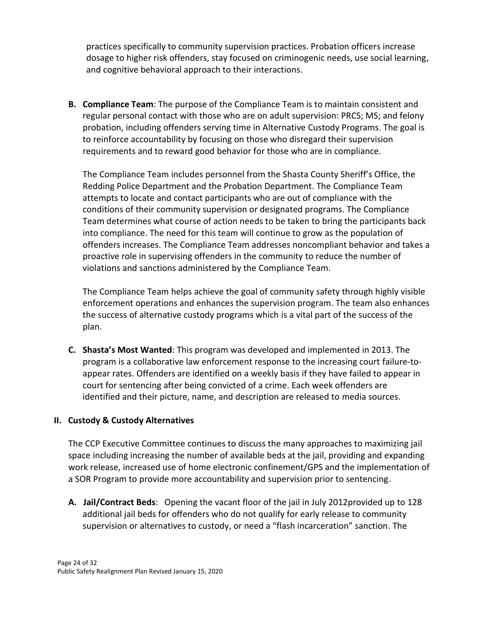practices specifically to community supervision practices. Probation officers increase dosage to higher risk offenders, stay focused on criminogenic needs, use social learning, and cognitive behavioral approach to their interactions.

**B. Compliance Team**: The purpose of the Compliance Team is to maintain consistent and regular personal contact with those who are on adult supervision: PRCS; MS; and felony probation, including offenders serving time in Alternative Custody Programs. The goal is to reinforce accountability by focusing on those who disregard their supervision requirements and to reward good behavior for those who are in compliance.

The Compliance Team includes personnel from the Shasta County Sheriff's Office, the Redding Police Department and the Probation Department. The Compliance Team attempts to locate and contact participants who are out of compliance with the conditions of their community supervision or designated programs. The Compliance Team determines what course of action needs to be taken to bring the participants back into compliance. The need for this team will continue to grow as the population of offenders increases. The Compliance Team addresses noncompliant behavior and takes a proactive role in supervising offenders in the community to reduce the number of violations and sanctions administered by the Compliance Team.

The Compliance Team helps achieve the goal of community safety through highly visible enforcement operations and enhances the supervision program. The team also enhances the success of alternative custody programs which is a vital part of the success of the plan.

**C. Shasta's Most Wanted**: This program was developed and implemented in 2013. The program is a collaborative law enforcement response to the increasing court failure-toappear rates. Offenders are identified on a weekly basis if they have failed to appear in court for sentencing after being convicted of a crime. Each week offenders are identified and their picture, name, and description are released to media sources.

## **II. Custody & Custody Alternatives**

The CCP Executive Committee continues to discuss the many approaches to maximizing jail space including increasing the number of available beds at the jail, providing and expanding work release, increased use of home electronic confinement/GPS and the implementation of a SOR Program to provide more accountability and supervision prior to sentencing.

**A. Jail/Contract Beds**: Opening the vacant floor of the jail in July 2012provided up to 128 additional jail beds for offenders who do not qualify for early release to community supervision or alternatives to custody, or need a "flash incarceration" sanction. The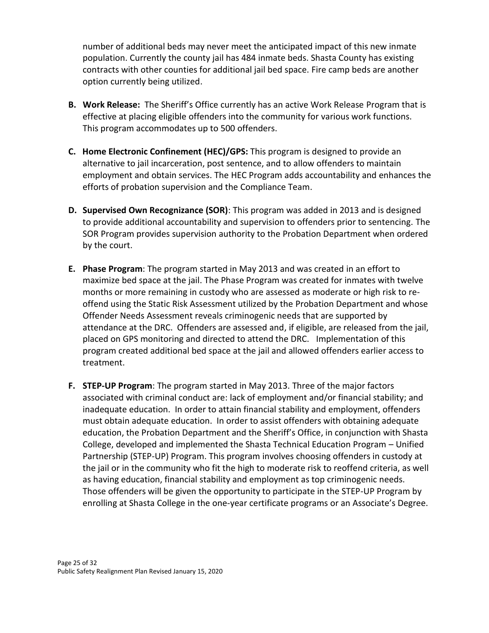number of additional beds may never meet the anticipated impact of this new inmate population. Currently the county jail has 484 inmate beds. Shasta County has existing contracts with other counties for additional jail bed space. Fire camp beds are another option currently being utilized.

- **B. Work Release:** The Sheriff's Office currently has an active Work Release Program that is effective at placing eligible offenders into the community for various work functions. This program accommodates up to 500 offenders.
- **C. Home Electronic Confinement (HEC)/GPS:** This program is designed to provide an alternative to jail incarceration, post sentence, and to allow offenders to maintain employment and obtain services. The HEC Program adds accountability and enhances the efforts of probation supervision and the Compliance Team.
- **D. Supervised Own Recognizance (SOR)**: This program was added in 2013 and is designed to provide additional accountability and supervision to offenders prior to sentencing. The SOR Program provides supervision authority to the Probation Department when ordered by the court.
- **E. Phase Program**: The program started in May 2013 and was created in an effort to maximize bed space at the jail. The Phase Program was created for inmates with twelve months or more remaining in custody who are assessed as moderate or high risk to reoffend using the Static Risk Assessment utilized by the Probation Department and whose Offender Needs Assessment reveals criminogenic needs that are supported by attendance at the DRC. Offenders are assessed and, if eligible, are released from the jail, placed on GPS monitoring and directed to attend the DRC. Implementation of this program created additional bed space at the jail and allowed offenders earlier access to treatment.
- **F. STEP-UP Program**: The program started in May 2013. Three of the major factors associated with criminal conduct are: lack of employment and/or financial stability; and inadequate education. In order to attain financial stability and employment, offenders must obtain adequate education. In order to assist offenders with obtaining adequate education, the Probation Department and the Sheriff's Office, in conjunction with Shasta College, developed and implemented the Shasta Technical Education Program – Unified Partnership (STEP-UP) Program. This program involves choosing offenders in custody at the jail or in the community who fit the high to moderate risk to reoffend criteria, as well as having education, financial stability and employment as top criminogenic needs. Those offenders will be given the opportunity to participate in the STEP-UP Program by enrolling at Shasta College in the one-year certificate programs or an Associate's Degree.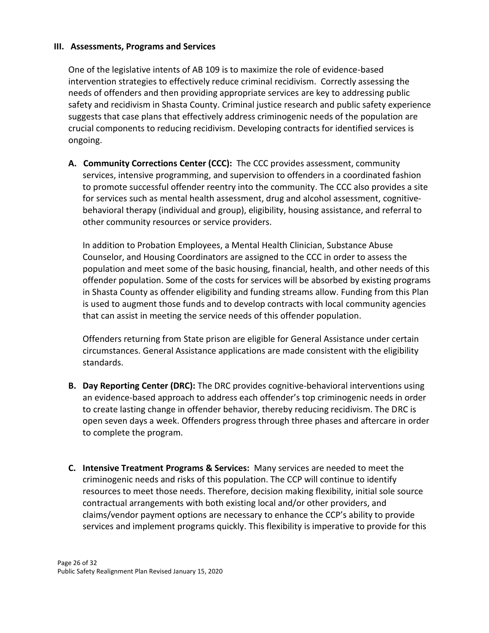#### **III. Assessments, Programs and Services**

One of the legislative intents of AB 109 is to maximize the role of evidence-based intervention strategies to effectively reduce criminal recidivism. Correctly assessing the needs of offenders and then providing appropriate services are key to addressing public safety and recidivism in Shasta County. Criminal justice research and public safety experience suggests that case plans that effectively address criminogenic needs of the population are crucial components to reducing recidivism. Developing contracts for identified services is ongoing.

**A. Community Corrections Center (CCC):** The CCC provides assessment, community services, intensive programming, and supervision to offenders in a coordinated fashion to promote successful offender reentry into the community. The CCC also provides a site for services such as mental health assessment, drug and alcohol assessment, cognitivebehavioral therapy (individual and group), eligibility, housing assistance, and referral to other community resources or service providers.

In addition to Probation Employees, a Mental Health Clinician, Substance Abuse Counselor, and Housing Coordinators are assigned to the CCC in order to assess the population and meet some of the basic housing, financial, health, and other needs of this offender population. Some of the costs for services will be absorbed by existing programs in Shasta County as offender eligibility and funding streams allow. Funding from this Plan is used to augment those funds and to develop contracts with local community agencies that can assist in meeting the service needs of this offender population.

Offenders returning from State prison are eligible for General Assistance under certain circumstances. General Assistance applications are made consistent with the eligibility standards.

- **B. Day Reporting Center (DRC):** The DRC provides cognitive-behavioral interventions using an evidence-based approach to address each offender's top criminogenic needs in order to create lasting change in offender behavior, thereby reducing recidivism. The DRC is open seven days a week. Offenders progress through three phases and aftercare in order to complete the program.
- **C. Intensive Treatment Programs & Services:** Many services are needed to meet the criminogenic needs and risks of this population. The CCP will continue to identify resources to meet those needs. Therefore, decision making flexibility, initial sole source contractual arrangements with both existing local and/or other providers, and claims/vendor payment options are necessary to enhance the CCP's ability to provide services and implement programs quickly. This flexibility is imperative to provide for this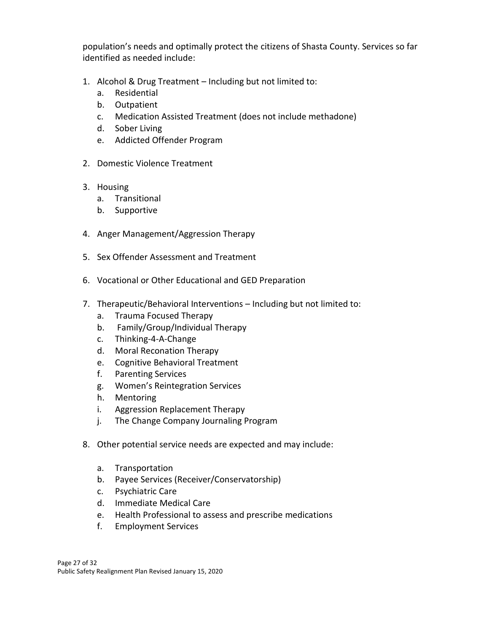population's needs and optimally protect the citizens of Shasta County. Services so far identified as needed include:

- 1. Alcohol & Drug Treatment Including but not limited to:
	- a. Residential
	- b. Outpatient
	- c. Medication Assisted Treatment (does not include methadone)
	- d. Sober Living
	- e. Addicted Offender Program
- 2. Domestic Violence Treatment
- 3. Housing
	- a. Transitional
	- b. Supportive
- 4. Anger Management/Aggression Therapy
- 5. Sex Offender Assessment and Treatment
- 6. Vocational or Other Educational and GED Preparation
- 7. Therapeutic/Behavioral Interventions Including but not limited to:
	- a. Trauma Focused Therapy
	- b. Family/Group/Individual Therapy
	- c. Thinking-4-A-Change
	- d. Moral Reconation Therapy
	- e. Cognitive Behavioral Treatment
	- f. Parenting Services
	- g. Women's Reintegration Services
	- h. Mentoring
	- i. Aggression Replacement Therapy
	- j. The Change Company Journaling Program
- 8. Other potential service needs are expected and may include:
	- a. Transportation
	- b. Payee Services (Receiver/Conservatorship)
	- c. Psychiatric Care
	- d. Immediate Medical Care
	- e. Health Professional to assess and prescribe medications
	- f. Employment Services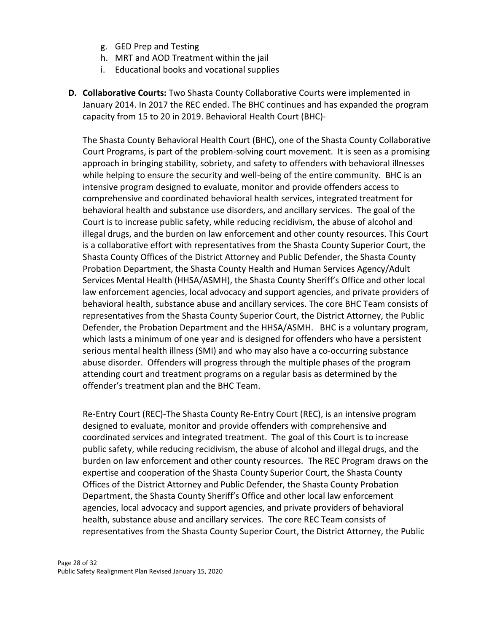- g. GED Prep and Testing
- h. MRT and AOD Treatment within the jail
- i. Educational books and vocational supplies
- **D. Collaborative Courts:** Two Shasta County Collaborative Courts were implemented in January 2014. In 2017 the REC ended. The BHC continues and has expanded the program capacity from 15 to 20 in 2019. Behavioral Health Court (BHC)-

The Shasta County Behavioral Health Court (BHC), one of the Shasta County Collaborative Court Programs, is part of the problem-solving court movement. It is seen as a promising approach in bringing stability, sobriety, and safety to offenders with behavioral illnesses while helping to ensure the security and well-being of the entire community. BHC is an intensive program designed to evaluate, monitor and provide offenders access to comprehensive and coordinated behavioral health services, integrated treatment for behavioral health and substance use disorders, and ancillary services. The goal of the Court is to increase public safety, while reducing recidivism, the abuse of alcohol and illegal drugs, and the burden on law enforcement and other county resources. This Court is a collaborative effort with representatives from the Shasta County Superior Court, the Shasta County Offices of the District Attorney and Public Defender, the Shasta County Probation Department, the Shasta County Health and Human Services Agency/Adult Services Mental Health (HHSA/ASMH), the Shasta County Sheriff's Office and other local law enforcement agencies, local advocacy and support agencies, and private providers of behavioral health, substance abuse and ancillary services. The core BHC Team consists of representatives from the Shasta County Superior Court, the District Attorney, the Public Defender, the Probation Department and the HHSA/ASMH. BHC is a voluntary program, which lasts a minimum of one year and is designed for offenders who have a persistent serious mental health illness (SMI) and who may also have a co-occurring substance abuse disorder. Offenders will progress through the multiple phases of the program attending court and treatment programs on a regular basis as determined by the offender's treatment plan and the BHC Team.

Re-Entry Court (REC)-The Shasta County Re-Entry Court (REC), is an intensive program designed to evaluate, monitor and provide offenders with comprehensive and coordinated services and integrated treatment. The goal of this Court is to increase public safety, while reducing recidivism, the abuse of alcohol and illegal drugs, and the burden on law enforcement and other county resources. The REC Program draws on the expertise and cooperation of the Shasta County Superior Court, the Shasta County Offices of the District Attorney and Public Defender, the Shasta County Probation Department, the Shasta County Sheriff's Office and other local law enforcement agencies, local advocacy and support agencies, and private providers of behavioral health, substance abuse and ancillary services. The core REC Team consists of representatives from the Shasta County Superior Court, the District Attorney, the Public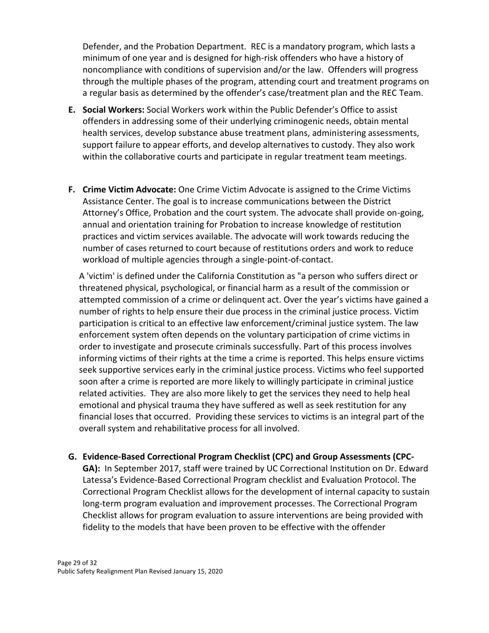Defender, and the Probation Department. REC is a mandatory program, which lasts a minimum of one year and is designed for high-risk offenders who have a history of noncompliance with conditions of supervision and/or the law. Offenders will progress through the multiple phases of the program, attending court and treatment programs on a regular basis as determined by the offender's case/treatment plan and the REC Team.

- **E. Social Workers:** Social Workers work within the Public Defender's Office to assist offenders in addressing some of their underlying criminogenic needs, obtain mental health services, develop substance abuse treatment plans, administering assessments, support failure to appear efforts, and develop alternatives to custody. They also work within the collaborative courts and participate in regular treatment team meetings.
- **F. Crime Victim Advocate:** One Crime Victim Advocate is assigned to the Crime Victims Assistance Center. The goal is to increase communications between the District Attorney's Office, Probation and the court system. The advocate shall provide on-going, annual and orientation training for Probation to increase knowledge of restitution practices and victim services available. The advocate will work towards reducing the number of cases returned to court because of restitutions orders and work to reduce workload of multiple agencies through a single-point-of-contact.

A 'victim' is defined under the California Constitution as "a person who suffers direct or threatened physical, psychological, or financial harm as a result of the commission or attempted commission of a crime or delinquent act. Over the year's victims have gained a number of rights to help ensure their due process in the criminal justice process. Victim participation is critical to an effective law enforcement/criminal justice system. The law enforcement system often depends on the voluntary participation of crime victims in order to investigate and prosecute criminals successfully. Part of this process involves informing victims of their rights at the time a crime is reported. This helps ensure victims seek supportive services early in the criminal justice process. Victims who feel supported soon after a crime is reported are more likely to willingly participate in criminal justice related activities. They are also more likely to get the services they need to help heal emotional and physical trauma they have suffered as well as seek restitution for any financial loses that occurred. Providing these services to victims is an integral part of the overall system and rehabilitative process for all involved.

**G. Evidence-Based Correctional Program Checklist (CPC) and Group Assessments (CPC-**

**GA):** In September 2017, staff were trained by UC Correctional Institution on Dr. Edward Latessa's Evidence-Based Correctional Program checklist and Evaluation Protocol. The Correctional Program Checklist allows for the development of internal capacity to sustain long-term program evaluation and improvement processes. The Correctional Program Checklist allows for program evaluation to assure interventions are being provided with fidelity to the models that have been proven to be effective with the offender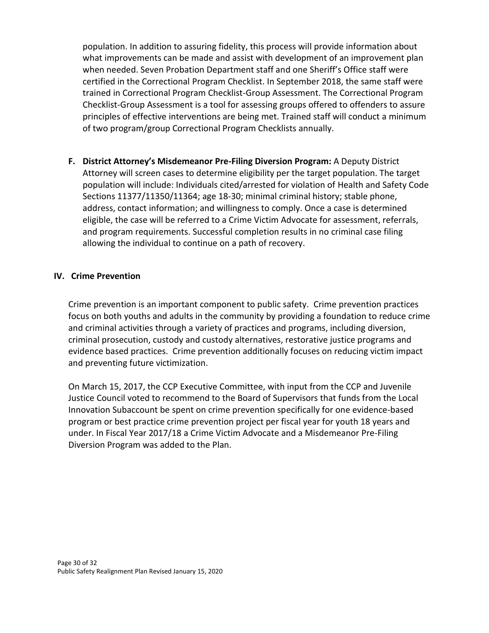population. In addition to assuring fidelity, this process will provide information about what improvements can be made and assist with development of an improvement plan when needed. Seven Probation Department staff and one Sheriff's Office staff were certified in the Correctional Program Checklist. In September 2018, the same staff were trained in Correctional Program Checklist-Group Assessment. The Correctional Program Checklist-Group Assessment is a tool for assessing groups offered to offenders to assure principles of effective interventions are being met. Trained staff will conduct a minimum of two program/group Correctional Program Checklists annually.

**F. District Attorney's Misdemeanor Pre-Filing Diversion Program:** A Deputy District Attorney will screen cases to determine eligibility per the target population. The target population will include: Individuals cited/arrested for violation of Health and Safety Code Sections 11377/11350/11364; age 18-30; minimal criminal history; stable phone, address, contact information; and willingness to comply. Once a case is determined eligible, the case will be referred to a Crime Victim Advocate for assessment, referrals, and program requirements. Successful completion results in no criminal case filing allowing the individual to continue on a path of recovery.

## **IV. Crime Prevention**

Crime prevention is an important component to public safety. Crime prevention practices focus on both youths and adults in the community by providing a foundation to reduce crime and criminal activities through a variety of practices and programs, including diversion, criminal prosecution, custody and custody alternatives, restorative justice programs and evidence based practices. Crime prevention additionally focuses on reducing victim impact and preventing future victimization.

On March 15, 2017, the CCP Executive Committee, with input from the CCP and Juvenile Justice Council voted to recommend to the Board of Supervisors that funds from the Local Innovation Subaccount be spent on crime prevention specifically for one evidence-based program or best practice crime prevention project per fiscal year for youth 18 years and under. In Fiscal Year 2017/18 a Crime Victim Advocate and a Misdemeanor Pre-Filing Diversion Program was added to the Plan.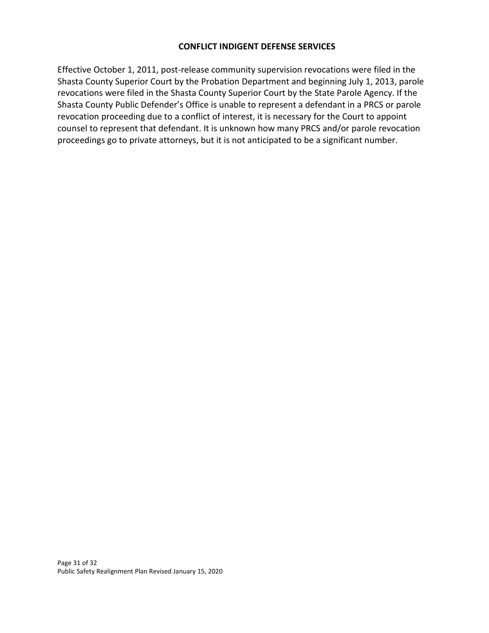Effective October 1, 2011, post-release community supervision revocations were filed in the Shasta County Superior Court by the Probation Department and beginning July 1, 2013, parole revocations were filed in the Shasta County Superior Court by the State Parole Agency. If the Shasta County Public Defender's Office is unable to represent a defendant in a PRCS or parole revocation proceeding due to a conflict of interest, it is necessary for the Court to appoint counsel to represent that defendant. It is unknown how many PRCS and/or parole revocation proceedings go to private attorneys, but it is not anticipated to be a significant number.